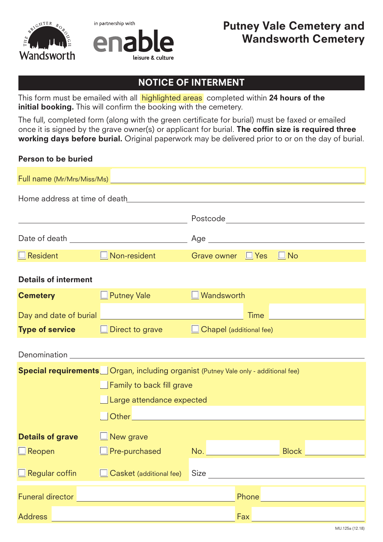



## NOTICE OF INTERMENT

This form must be emailed with all **highlighted areas** completed within 24 hours of the initial booking. This will confirm the booking with the cemetery.

The full, completed form (along with the green certificate for burial) must be faxed or emailed once it is signed by the grave owner(s) or applicant for burial. The coffin size is required three working days before burial. Original paperwork may be delivered prior to or on the day of burial.

## Person to be buried

| $\Box$ Resident the set of $\Box$                                                         | $\Box$ Non-resident                                                                                                    | Grave owner <b>F</b> Yes |       | $\Box$ No                            |  |
|-------------------------------------------------------------------------------------------|------------------------------------------------------------------------------------------------------------------------|--------------------------|-------|--------------------------------------|--|
| <b>Details of interment</b>                                                               |                                                                                                                        |                          |       |                                      |  |
| <b>Cemetery</b>                                                                           | $\Box$ Putney Vale                                                                                                     | $\Box$ Wandsworth        |       |                                      |  |
|                                                                                           | Day and date of burial <u>Denomination and the set of the set of the set of the set of the set of the set of the s</u> |                          |       | Time <u>________________________</u> |  |
|                                                                                           | <b>Type of service</b> $\Box$ Direct to grave $\Box$ Chapel (additional fee)                                           |                          |       |                                      |  |
|                                                                                           | Denomination <b>Denomination</b>                                                                                       |                          |       |                                      |  |
| <b>Special requirements</b> Organ, including organist (Putney Vale only - additional fee) |                                                                                                                        |                          |       |                                      |  |
|                                                                                           | $\Box$ Family to back fill grave                                                                                       |                          |       |                                      |  |
|                                                                                           | $\_$ Large attendance expected                                                                                         |                          |       |                                      |  |
|                                                                                           |                                                                                                                        |                          |       |                                      |  |
| <b>Details of grave</b>                                                                   | $\Box$ New grave                                                                                                       |                          |       |                                      |  |
| $\Box$ Reopen to the $\Box$                                                               | $\Box$ Pre-purchased                                                                                                   |                          |       | <b>Block</b>                         |  |
| $\Box$ Regular coffin                                                                     | Casket (additional fee)                                                                                                | Size                     |       |                                      |  |
| <b>Funeral director</b>                                                                   |                                                                                                                        |                          | Phone |                                      |  |
| <b>Address</b>                                                                            |                                                                                                                        |                          | Fax   |                                      |  |